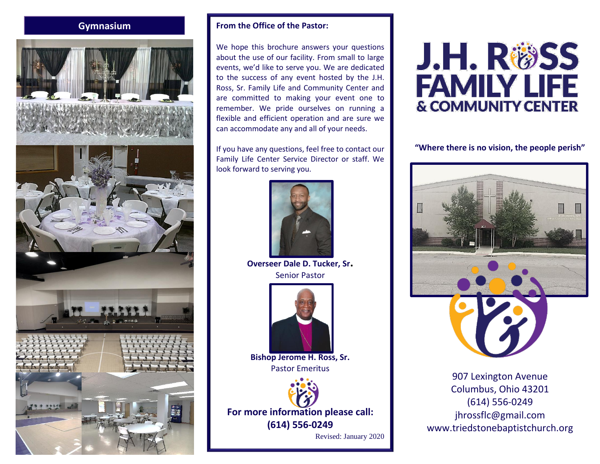## **Gymnasium**



## **From the Office of the Pastor:**

We hope this brochure answers your questions about the use of our facility. From small to large events, we'd like to serve you. We are dedicated to the success of any event hosted by the J.H. Ross, Sr. Family Life and Community Center and are committed to making your event one to remember. We pride ourselves on running a flexible and efficient operation and are sure we can accommodate any and all of your needs.

If you have any questions, feel free to contact our Family Life Center Service Director or staff. We look forward to serving you.



**Overseer Dale D. Tucker, Sr.** Senior Pastor



**Bishop Jerome H. Ross, Sr.** Pastor Emeritus

**For more information please call: (614) 556-0249** Revised: January 2020

J.H. R®SS **FAMILY LIFE & COMMUNITY CENTER** 

**"Where there is no vision, the people perish"**



907 Lexington Avenue Columbus, Ohio 43201 (614) 556-0249 jhrossflc@gmail.com www.triedstonebaptistchurch.org